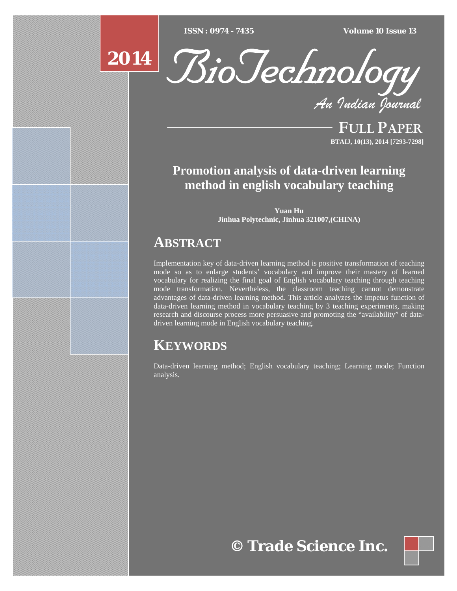$\overline{ISSN} : 0974 - 7435$ 

*ISSN : 0974 - 7435 Volume 10 Issue 13*





*An Indian Journal*

FULL PAPER **BTAIJ, 10(13), 2014 [7293-7298]**

## **Promotion analysis of data-driven learning method in english vocabulary teaching**

**Yuan Hu Jinhua Polytechnic, Jinhua 321007,(CHINA)** 

## **ABSTRACT**

Implementation key of data-driven learning method is positive transformation of teaching mode so as to enlarge students' vocabulary and improve their mastery of learned vocabulary for realizing the final goal of English vocabulary teaching through teaching mode transformation. Nevertheless, the classroom teaching cannot demonstrate advantages of data-driven learning method. This article analyzes the impetus function of data-driven learning method in vocabulary teaching by 3 teaching experiments, making research and discourse process more persuasive and promoting the "availability" of datadriven learning mode in English vocabulary teaching.

# **KEYWORDS**

Data-driven learning method; English vocabulary teaching; Learning mode; Function analysis.

# **© Trade Science Inc.**

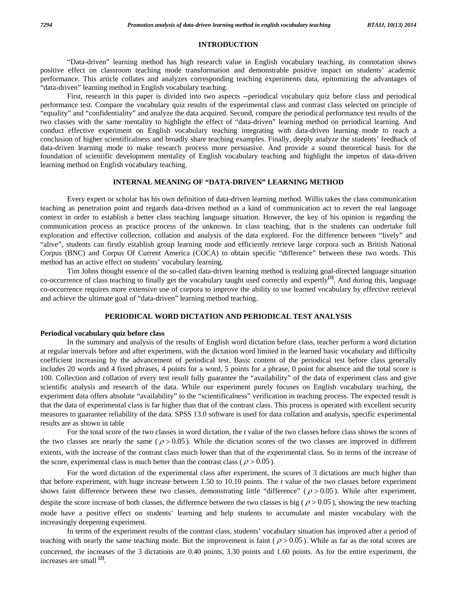#### **INTRODUCTION**

 "Data-driven" learning method has high research value in English vocabulary teaching, its connotation shows positive effect on classroom teaching mode transformation and demonstrable positive impact on students' academic performance. This article collates and analyzes corresponding teaching experiments data, epitomizing the advantages of "data-driven" learning method in English vocabulary teaching.

 First, research in this paper is divided into two aspects --periodical vocabulary quiz before class and periodical performance test. Compare the vocabulary quiz results of the experimental class and contrast class selected on principle of "equality" and "confidentiality" and analyze the data acquired. Second, compare the periodical performance test results of the two classes with the same mentality to highlight the effect of "data-driven" learning method on periodical learning. And conduct effective experiment on English vocabulary teaching integrating with data-driven learning mode to reach a conclusion of higher scientificalness and broadly share teaching examples. Finally, deeply analyze the students' feedback of data-driven learning mode to make research process more persuasive. And provide a sound theoretical basis for the foundation of scientific development mentality of English vocabulary teaching and highlight the impetus of data-driven learning method on English vocabulary teaching.

#### **INTERNAL MEANING OF "DATA-DRIVEN" LEARNING METHOD**

 Every expert or scholar has his own definition of data-driven learning method. Willis takes the class communication teaching as penetration point and regards data-driven method as a kind of communication act to revert the real language context in order to establish a better class teaching language situation. However, the key of his opinion is regarding the communication process as practice process of the unknown. In class teaching, that is the students can undertake full exploration and effective collection, collation and analysis of the data explored. For the difference between "lively" and "alive", students can firstly establish group learning mode and efficiently retrieve large corpora such as British National Corpus (BNC) and Corpus Of Current America (COCA) to obtain specific "difference" between these two words. This method has an active effect on students' vocabulary learning.

 Tim Johns thought essence of the so-called data-driven learning method is realizing goal-directed language situation co-occurrence of class teaching to finally get the vocabulary taught used correctly and expertly**[1]**. And during this, language co-occurrence requires more extensive use of corpora to improve the ability to use learned vocabulary by effective retrieval and achieve the ultimate goal of "data-driven" learning method teaching.

## **PERIODICAL WORD DICTATION AND PERIODICAL TEST ANALYSIS**

#### **Periodical vocabulary quiz before class**

 In the summary and analysis of the results of English word dictation before class, teacher perform a word dictation at regular intervals before and after experiment, with the dictation word limited in the learned basic vocabulary and difficulty coefficient increasing by the advancement of periodical test. Basic content of the periodical test before class generally includes 20 words and 4 fixed phrases, 4 points for a word, 5 points for a phrase, 0 point for absence and the total score is 100. Collection and collation of every test result fully guarantee the "availability" of the data of experiment class and give scientific analysis and research of the data. While our experiment purely focuses on English vocabulary teaching, the experiment data offers absolute "availability" to the "scientificalness" verification in teaching process. The expected result is that the data of experimental class is far higher than that of the contrast class. This process is operated with excellent security measures to guarantee reliability of the data. SPSS 13.0 software is used for data collation and analysis, specific experimental results are as shown in table

 For the total score of the two classes in word dictation, the *t* value of the two classes before class shows the scores of the two classes are nearly the same ( $\rho > 0.05$ ). While the dictation scores of the two classes are improved in different extents, with the increase of the contrast class much lower than that of the experimental class. So in terms of the increase of the score, experimental class is much better than the contrast class ( $\rho > 0.05$ ).

 For the word dictation of the experimental class after experiment, the scores of 3 dictations are much higher than that before experiment, with huge increase between 1.50 to 10.10 points. The *t* value of the two classes before experiment shows faint difference between these two classes, demonstrating little "difference" ( $\rho > 0.05$ ). While after experiment, despite the score increase of both classes, the difference between the two classes is big ( $\rho > 0.05$ ), showing the new teaching mode have a positive effect on students' learning and help students to accumulate and master vocabulary with the increasingly deepening experiment.

 In terms of the experiment results of the contrast class, students' vocabulary situation has improved after a period of teaching with nearly the same teaching mode. But the improvement is faint ( $\rho > 0.05$ ). While as far as the total scores are concerned, the increases of the 3 dictations are 0.40 points, 3.30 points and 1.60 points. As for the entire experiment, the increases are small **[2]**.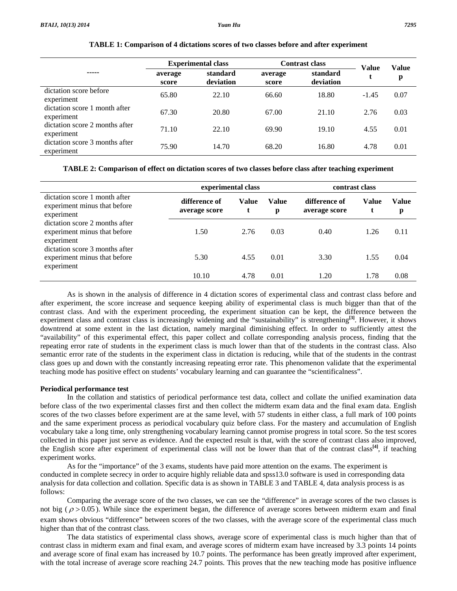|                                              |                  | <b>Experimental class</b> |                  | <b>Contrast class</b> |                   | Value |
|----------------------------------------------|------------------|---------------------------|------------------|-----------------------|-------------------|-------|
| -----                                        | average<br>score | standard<br>deviation     | average<br>score | standard<br>deviation | <b>Value</b><br>t | p     |
| dictation score before<br>experiment         | 65.80            | 22.10                     | 66.60            | 18.80                 | $-1.45$           | 0.07  |
| dictation score 1 month after<br>experiment  | 67.30            | 20.80                     | 67.00            | 21.10                 | 2.76              | 0.03  |
| dictation score 2 months after<br>experiment | 71.10            | 22.10                     | 69.90            | 19.10                 | 4.55              | 0.01  |
| dictation score 3 months after<br>experiment | 75.90            | 14.70                     | 68.20            | 16.80                 | 4.78              | 0.01  |

#### **TABLE 1: Comparison of 4 dictations scores of two classes before and after experiment**

**TABLE 2: Comparison of effect on dictation scores of two classes before class after teaching experiment** 

|                                                                              |                                | experimental class |            | contrast class                 |            |            |
|------------------------------------------------------------------------------|--------------------------------|--------------------|------------|--------------------------------|------------|------------|
| dictation score 1 month after<br>experiment minus that before<br>experiment  | difference of<br>average score | Value              | Value<br>р | difference of<br>average score | Value<br>t | Value<br>p |
| dictation score 2 months after<br>experiment minus that before<br>experiment | 1.50                           | 2.76               | 0.03       | 0.40                           | 1.26       | 0.11       |
| dictation score 3 months after<br>experiment minus that before<br>experiment | 5.30                           | 4.55               | 0.01       | 3.30                           | 1.55       | 0.04       |
|                                                                              | 10.10                          | 4.78               | 0.01       | 1.20                           | 1.78       | 0.08       |

 As is shown in the analysis of difference in 4 dictation scores of experimental class and contrast class before and after experiment, the score increase and sequence keeping ability of experimental class is much bigger than that of the contrast class. And with the experiment proceeding, the experiment situation can be kept, the difference between the experiment class and contrast class is increasingly widening and the "sustainability" is strengthening**[3]**. However, it shows downtrend at some extent in the last dictation, namely marginal diminishing effect. In order to sufficiently attest the "availability" of this experimental effect, this paper collect and collate corresponding analysis process, finding that the repeating error rate of students in the experiment class is much lower than that of the students in the contrast class. Also semantic error rate of the students in the experiment class in dictation is reducing, while that of the students in the contrast class goes up and down with the constantly increasing repeating error rate. This phenomenon validate that the experimental teaching mode has positive effect on students' vocabulary learning and can guarantee the "scientificalness".

#### **Periodical performance test**

 In the collation and statistics of periodical performance test data, collect and collate the unified examination data before class of the two experimental classes first and then collect the midterm exam data and the final exam data. English scores of the two classes before experiment are at the same level, with 57 students in either class, a full mark of 100 points and the same experiment process as periodical vocabulary quiz before class. For the mastery and accumulation of English vocabulary take a long time, only strengthening vocabulary learning cannot promise progress in total score. So the test scores collected in this paper just serve as evidence. And the expected result is that, with the score of contrast class also improved, the English score after experiment of experimental class will not be lower than that of the contrast class**[4]**, if teaching experiment works.

 As for the "importance" of the 3 exams, students have paid more attention on the exams. The experiment is conducted in complete secrecy in order to acquire highly reliable data and spss13.0 software is used in corresponding data analysis for data collection and collation. Specific data is as shown in TABLE 3 and TABLE 4, data analysis process is as follows:

 Comparing the average score of the two classes, we can see the "difference" in average scores of the two classes is not big ( $\rho > 0.05$ ). While since the experiment began, the difference of average scores between midterm exam and final exam shows obvious "difference" between scores of the two classes, with the average score of the experimental class much higher than that of the contrast class.

 The data statistics of experimental class shows, average score of experimental class is much higher than that of contrast class in midterm exam and final exam, and average scores of midterm exam have increased by 3.3 points 14 points and average score of final exam has increased by 10.7 points. The performance has been greatly improved after experiment, with the total increase of average score reaching 24.7 points. This proves that the new teaching mode has positive influence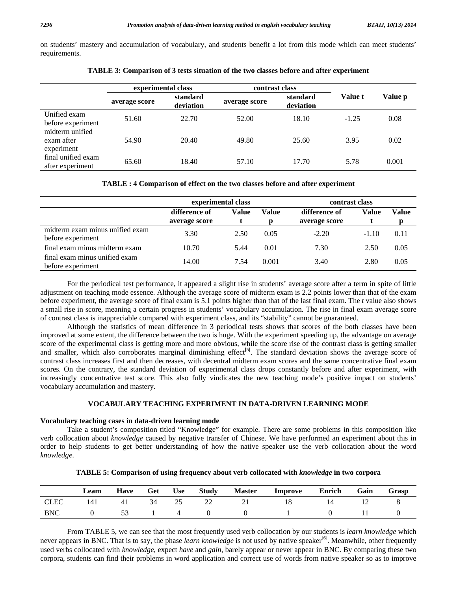on students' mastery and accumulation of vocabulary, and students benefit a lot from this mode which can meet students' requirements.

|                                             | experimental class |                       | contrast class |                       |                |         |
|---------------------------------------------|--------------------|-----------------------|----------------|-----------------------|----------------|---------|
|                                             | average score      | standard<br>deviation | average score  | standard<br>deviation | <b>Value t</b> | Value p |
| Unified exam<br>before experiment           | 51.60              | 22.70                 | 52.00          | 18.10                 | $-1.25$        | 0.08    |
| midterm unified<br>exam after<br>experiment | 54.90              | 20.40                 | 49.80          | 25.60                 | 3.95           | 0.02    |
| final unified exam<br>after experiment      | 65.60              | 18.40                 | 57.10          | 17.70                 | 5.78           | 0.001   |

**TABLE 3: Comparison of 3 tests situation of the two classes before and after experiment** 

**TABLE : 4 Comparison of effect on the two classes before and after experiment** 

|                                                      | experimental class             |       |       | contrast class                 |         |       |
|------------------------------------------------------|--------------------------------|-------|-------|--------------------------------|---------|-------|
|                                                      | difference of<br>average score | Value | Value | difference of<br>average score | Value   | Value |
| midterm exam minus unified exam<br>before experiment | 3.30                           | 2.50  | 0.05  | $-2.20$                        | $-1.10$ | 0.11  |
| final exam minus midterm exam                        | 10.70                          | 5.44  | 0.01  | 7.30                           | 2.50    | 0.05  |
| final exam minus unified exam<br>before experiment   | 14.00                          | 7.54  | 0.001 | 3.40                           | 2.80    | 0.05  |

 For the periodical test performance, it appeared a slight rise in students' average score after a term in spite of little adjustment on teaching mode essence. Although the average score of midterm exam is 2.2 points lower than that of the exam before experiment, the average score of final exam is 5.1 points higher than that of the last final exam. The *t* value also shows a small rise in score, meaning a certain progress in students' vocabulary accumulation. The rise in final exam average score of contrast class is inappreciable compared with experiment class, and its "stability" cannot be guaranteed.

 Although the statistics of mean difference in 3 periodical tests shows that scores of the both classes have been improved at some extent, the difference between the two is huge. With the experiment speeding up, the advantage on average score of the experimental class is getting more and more obvious, while the score rise of the contrast class is getting smaller and smaller, which also corroborates marginal diminishing effect<sup>[5]</sup>. The standard deviation shows the average score of contrast class increases first and then decreases, with decentral midterm exam scores and the same concentrative final exam scores. On the contrary, the standard deviation of experimental class drops constantly before and after experiment, with increasingly concentrative test score. This also fully vindicates the new teaching mode's positive impact on students' vocabulary accumulation and mastery.

#### **VOCABULARY TEACHING EXPERIMENT IN DATA-DRIVEN LEARNING MODE**

#### **Vocabulary teaching cases in data-driven learning mode**

 Take a student's composition titled "Knowledge" for example. There are some problems in this composition like verb collocation about *knowledge* caused by negative transfer of Chinese. We have performed an experiment about this in order to help students to get better understanding of how the native speaker use the verb collocation about the word *knowledge*.

|             | Leam | <b>Have</b> | Get | <b>Use</b> | <b>Study</b> | <b>Master</b> | Improve | Enrich       | Gain | Grasp |
|-------------|------|-------------|-----|------------|--------------|---------------|---------|--------------|------|-------|
| <b>CLEC</b> | 141  | -41         | 34  | -25        | 22           | -21           | 18      |              |      |       |
| <b>BNC</b>  |      | - 53        |     | $\sim$ 4   |              |               |         | $\mathbf{U}$ |      |       |

**TABLE 5: Comparison of using frequency about verb collocated with** *knowledge* **in two corpora** 

 From TABLE 5, we can see that the most frequently used verb collocation by our students is *learn knowledge* which never appears in BNC. That is to say, the phase *learn knowledge* is not used by native speaker<sup>[6]</sup>. Meanwhile, other frequently used verbs collocated with *knowledge*, expect *have* and *gain*, barely appear or never appear in BNC. By comparing these two corpora, students can find their problems in word application and correct use of words from native speaker so as to improve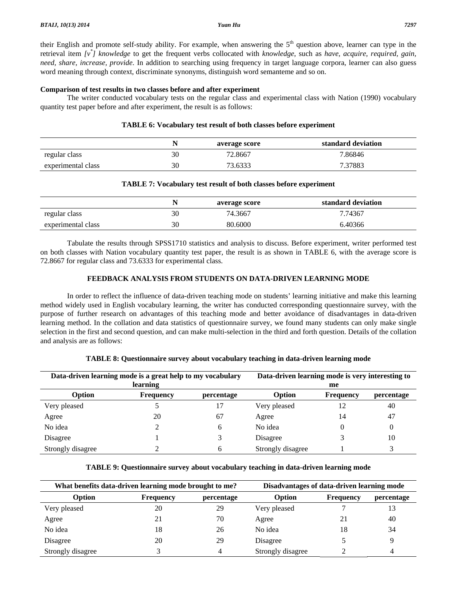their English and promote self-study ability. For example, when answering the  $5<sup>th</sup>$  question above, learner can type in the retrieval item *[v\* ] knowledge* to get the frequent verbs collocated with *knowledge*, such as *have, acquire, required, gain, need, share, increase, provide*. In addition to searching using frequency in target language corpora, learner can also guess word meaning through context, discriminate synonyms, distinguish word semanteme and so on.

#### **Comparison of test results in two classes before and after experiment**

 The writer conducted vocabulary tests on the regular class and experimental class with Nation (1990) vocabulary quantity test paper before and after experiment, the result is as follows:

#### **TABLE 6: Vocabulary test result of both classes before experiment**

|                    |    | average score | standard deviation |
|--------------------|----|---------------|--------------------|
| regular class      | 30 | 72.8667       | 7.86846            |
| experimental class | 30 | 73.6333       | 7.37883            |

### **TABLE 7: Vocabulary test result of both classes before experiment**

|                    |    | average score | standard deviation |
|--------------------|----|---------------|--------------------|
| regular class      | 30 | 74.3667       | 7.74367            |
| experimental class | 30 | 80.6000       | 6.40366            |

 Tabulate the results through SPSS1710 statistics and analysis to discuss. Before experiment, writer performed test on both classes with Nation vocabulary quantity test paper, the result is as shown in TABLE 6, with the average score is 72.8667 for regular class and 73.6333 for experimental class.

## **FEEDBACK ANALYSIS FROM STUDENTS ON DATA-DRIVEN LEARNING MODE**

 In order to reflect the influence of data-driven teaching mode on students' learning initiative and make this learning method widely used in English vocabulary learning, the writer has conducted corresponding questionnaire survey, with the purpose of further research on advantages of this teaching mode and better avoidance of disadvantages in data-driven learning method. In the collation and data statistics of questionnaire survey, we found many students can only make single selection in the first and second question, and can make multi-selection in the third and forth question. Details of the collation and analysis are as follows:

| Data-driven learning mode is a great help to my vocabulary<br>learning |                  |            | Data-driven learning mode is very interesting to<br>me |                  |            |  |
|------------------------------------------------------------------------|------------------|------------|--------------------------------------------------------|------------------|------------|--|
| Option                                                                 | <b>Frequency</b> | percentage | Option                                                 | <b>Frequency</b> | percentage |  |
| Very pleased                                                           |                  |            | Very pleased                                           | 12               | 40         |  |
| Agree                                                                  | 20               | 67         | Agree                                                  | 14               | 47         |  |
| No idea                                                                |                  | 6          | No idea                                                |                  | 0          |  |
| Disagree                                                               |                  |            | Disagree                                               |                  | 10         |  |
| Strongly disagree                                                      |                  | 6          | Strongly disagree                                      |                  | 3          |  |

### **TABLE 8: Questionnaire survey about vocabulary teaching in data-driven learning mode**

## **TABLE 9: Questionnaire survey about vocabulary teaching in data-driven learning mode**

| What benefits data-driven learning mode brought to me? |           |            | Disadvantages of data-driven learning mode |                  |            |  |
|--------------------------------------------------------|-----------|------------|--------------------------------------------|------------------|------------|--|
| <b>Option</b>                                          | Frequency | percentage | Option                                     | <b>Frequency</b> | percentage |  |
| Very pleased                                           | 20        | 29         | Very pleased                               |                  | 13         |  |
| Agree                                                  | 21        | 70         | Agree                                      | 21               | 40         |  |
| No idea                                                | 18        | 26         | No idea                                    | 18               | 34         |  |
| Disagree                                               | 20        | 29         | Disagree                                   |                  | q          |  |
| Strongly disagree                                      |           | 4          | Strongly disagree                          |                  | 4          |  |